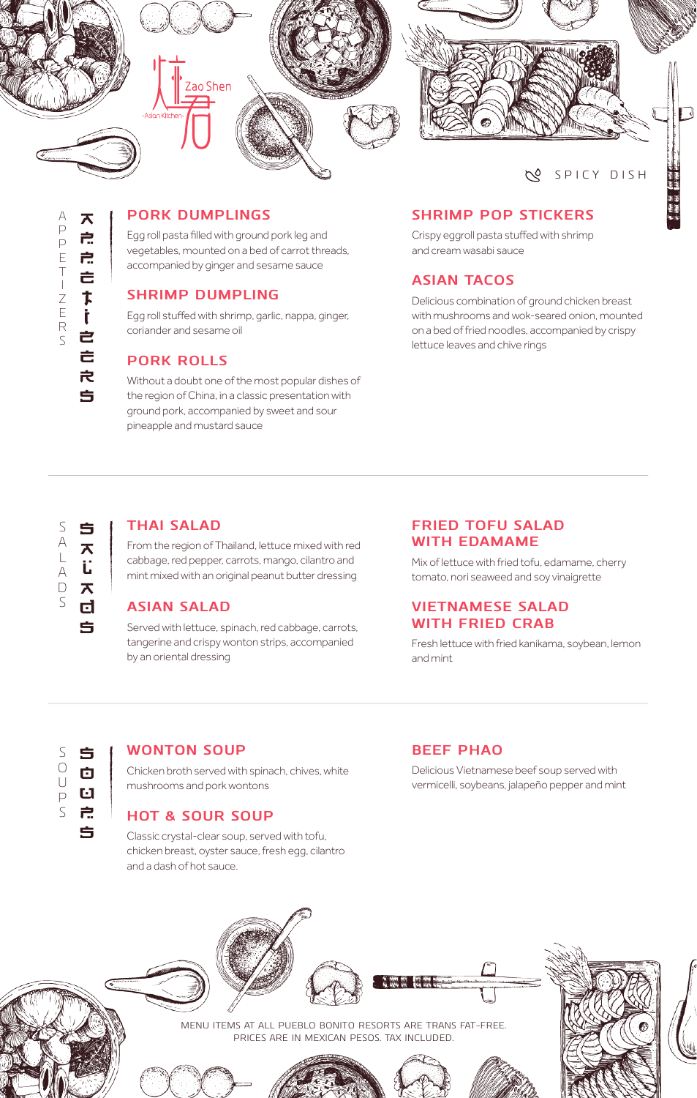

#### **SPICY DISH**

n<br>11

#### **PORK DUMPLINGS**

Egg roll pasta filled with ground pork leg and vegetables, mounted on a bed of carrot threads, accompanied by ginger and sesame sauce

#### **SHRIMP DUMPLING**

Egg roll stuffed with shrimp, garlic, nappa, ginger, coriander and sesame oil

#### **PORK ROLLS**

Without a doubt one of the most popular dishes of the region of China, in a classic presentation with ground pork, accompanied by sweet and sour pineapple and mustard sauce

#### **SHRIMP POP STICKERS**

Crispy eggroll pasta stuffed with shrimp and cream wasabi sauce

#### **ASIAN TACOS 295**

Delicious combination of ground chicken breast with mushrooms and wok-seared onion, mounted on a bed of fried noodles, accompanied by crispy lettuce leaves and chive rings

# $\overline{S}$ SOUPSSALADS  $\begin{array}{c}\nA \\
L\n\end{array}$  $\forall$  $\Box$  $\varsigma$

#### **THAI SALAD 315**

From the region of Thailand, lettuce mixed with red cabbage, red pepper, carrots, mango, cilantro and mint mixed with an original peanut butter dressing

#### **ASIAN SALAD**

SALADSSOUPS **WONTON SOUP 175** Served with lettuce, spinach, red cabbage, carrots, tangerine and crispy wonton strips, accompanied by an oriental dressing

#### **FRIED TOFU SALAD WITH EDAMAME**

Mix of lettuce with fried tofu, edamame, cherry tomato, nori seaweed and soy vinaigrette

#### **VIETNAMESE SALAD 325 WITH FRIED CRAB**

Fresh lettuce with fried kanikama, soybean, lemon and mint

|        | Ś |
|--------|---|
| ()     | O |
| U<br>⊃ | U |
|        | 户 |
|        | ÷ |

Chicken broth served with spinach, chives, white mushrooms and pork wontons

#### **HOT & SOUR SOUP**

Classic crystal-clear soup, served with tofu, chicken breast, oyster sauce, fresh egg, cilantro and a dash of hot sauce.

#### **BEEF PHAO**

Delicious Vietnamese beef soup served with vermicelli, soybeans, jalapeño pepper and mint

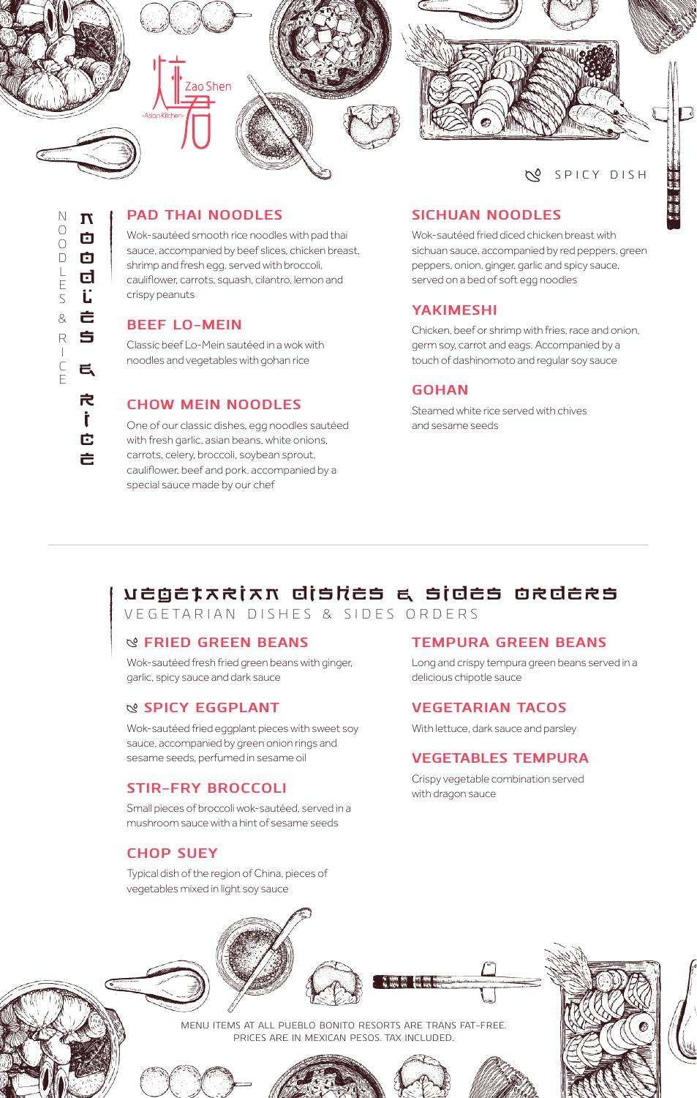

#### **SPICY DISH**

 $\frac{1}{1}$ 

#### **PAD THAI NOODLES**

Wok-sautéed smooth rice noodles with pad thai sauce, accompanied by beef slices, chicken breast, shrimp and fresh egg, served with broccoli, cauliflower, carrots, squash, cilantro, lemon and crispy peanuts

#### **BEEF LO-MEIN**

Classic beef Lo-Mein sautéed in a wok with noodles and vegetables with gohan rice

#### **CHOW MEIN NOODLES**

One of our classic dishes, egg noodles sautéed with fresh garlic, asian beans, white onions, carrots, celery, broccoli, soybean sprout, cauliflower, beef and pork, accompanied by a special sauce made by our chef

#### **SICHUAN NOODLES**

Wok-sautéed fried diced chicken breast with sichuan sauce, accompanied by red peppers, green peppers, onion, ginger, garlic and spicy sauce, served on a bed of soft egg noodles

#### **YAKIMESHI 270**

Chicken, beef or shrimp with fries, race and onion, germ soy, carrot and eags. Accompanied by a touch of dashinomoto and regular soy sauce

#### **GOHAN 170**

Steamed white rice served with chives and sesame seeds

### VEGETARIAN DISHES & SIDES ORDERS

VEGETARIAN DISHES & SIDES ORDERS

#### **FRIED GREEN BEANS 210**

Wok-sautéed fresh fried green beans with ginger, garlic, spicy sauce and dark sauce

#### **SPICY EGGPLANT 260**

Wok-sautéed fried eggplant pieces with sweet soy sauce, accompanied by green onion rings and sesame seeds, perfumed in sesame oil

#### **STIR-FRY BROCCOLI**

Small pieces of broccoli wok-sautéed, served in a mushroom sauce with a hint of sesame seeds

#### **CHOP SUEY**

Typical dish of the region of China, pieces of vegetables mixed in light soy sauce

#### **TEMPURA GREEN BEANS**

Long and crispy tempura green beans served in a delicious chipotle sauce

#### **VEGETARIAN TACOS**

With lettuce, dark sauce and parsley

#### **VEGETABLES TEMPURA**

Crispy vegetable combination served with dragon sauce



MENU ITEMS AT ALL PUEBLO BONITO RESORTS ARE TRANS FAT-FREE. PRICES ARE IN MEXICAN PESOS. TAX INCLUDED.







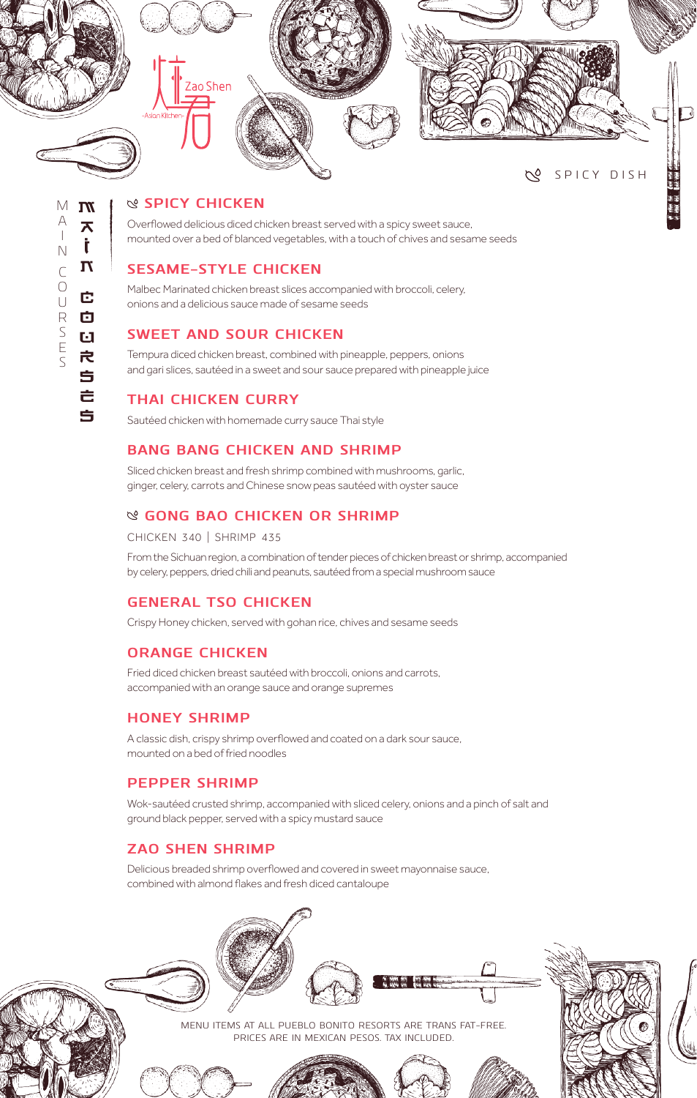

#### **SPICY CHICKEN**

Overflowed delicious diced chicken breast served with a spicy sweet sauce, mounted over a bed of blanced vegetables, with a touch of chives and sesame seeds

#### **SESAME-STYLE CHICKEN**

Malbec Marinated chicken breast slices accompanied with broccoli, celery, onions and a delicious sauce made of sesame seeds

#### **SWEET AND SOUR CHICKEN**

Tempura diced chicken breast, combined with pineapple, peppers, onions and gari slices, sautéed in a sweet and sour sauce prepared with pineapple juice

#### **THAI CHICKEN CURRY**

Sautéed chicken with homemade curry sauce Thai style

#### **BANG BANG CHICKEN AND SHRIMP**

Sliced chicken breast and fresh shrimp combined with mushrooms, garlic, ginger, celery, carrots and Chinese snow peas sautéed with oyster sauce

#### **GONG BAO CHICKEN OR SHRIMP**

CHICKEN 340 | SHRIMP 435

From the Sichuan region, a combination of tender pieces of chicken breast or shrimp, accompanied by celery, peppers, dried chili and peanuts, sautéed from a special mushroom sauce

#### **GENERAL TSO CHICKEN**

Crispy Honey chicken, served with gohan rice, chives and sesame seeds

#### **ORANGE CHICKEN**

Fried diced chicken breast sautéed with broccoli, onions and carrots, accompanied with an orange sauce and orange supremes

#### **HONEY SHRIMP**

A classic dish, crispy shrimp overflowed and coated on a dark sour sauce, mounted on a bed of fried noodles

#### **PEPPER SHRIMP**

Wok-sautéed crusted shrimp, accompanied with sliced celery, onions and a pinch of salt and ground black pepper, served with a spicy mustard sauce

#### **ZAO SHEN SHRIMP**

Delicious breaded shrimp overflowed and covered in sweet mayonnaise sauce, combined with almond flakes and fresh diced cantaloupe



NAINCOURSES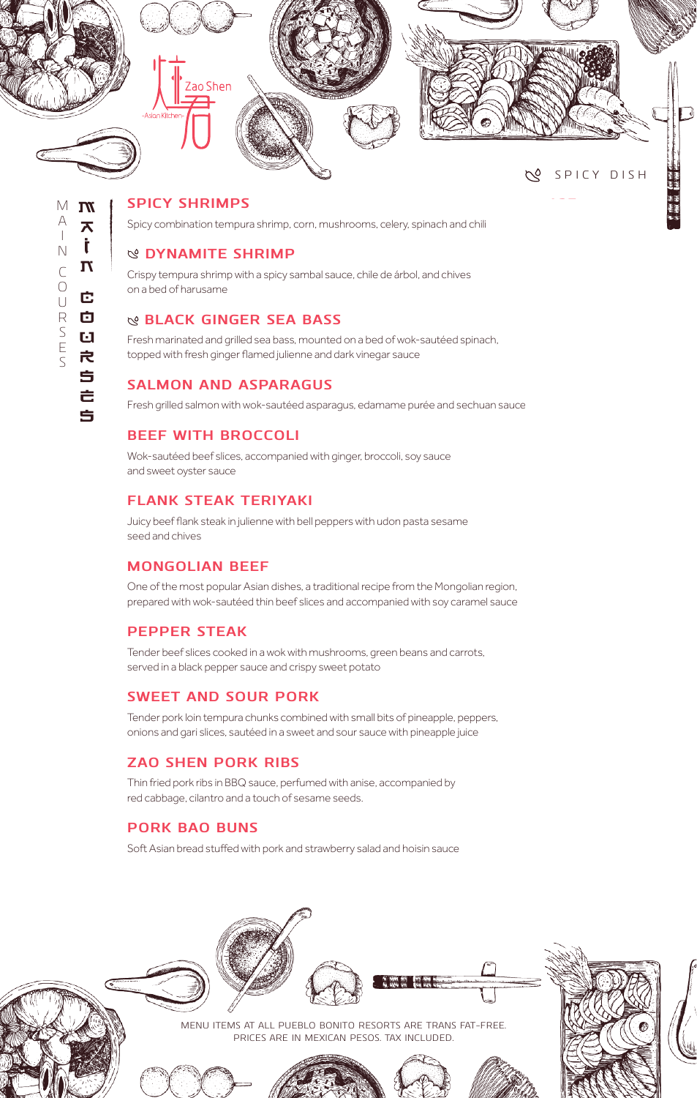

#### **SPICY SHRIMPS**

Spicy combination tempura shrimp, corn, mushrooms, celery, spinach and chili

#### **DYNAMITE SHRIMP 420**

Crispy tempura shrimp with a spicy sambal sauce, chile de árbol, and chives on a bed of harusame

#### **BLACK GINGER SEA BASS**

Fresh marinated and grilled sea bass, mounted on a bed of wok-sautéed spinach, topped with fresh ginger flamed julienne and dark vinegar sauce

#### **SALMON AND ASPARAGUS**

Fresh grilled salmon with wok-sautéed asparagus, edamame purée and sechuan sauce

#### **BEEF WITH BROCCOLI**

Wok-sautéed beef slices, accompanied with ginger, broccoli, soy sauce and sweet oyster sauce

#### **FLANK STEAK TERIYAKI**

Juicy beef flank steak in julienne with bell peppers with udon pasta sesame seed and chives

#### **MONGOLIAN BEEF**

One of the most popular Asian dishes, a traditional recipe from the Mongolian region, prepared with wok-sautéed thin beef slices and accompanied with soy caramel sauce

#### **PEPPER STEAK**

Tender beef slices cooked in a wok with mushrooms, green beans and carrots, served in a black pepper sauce and crispy sweet potato

#### **SWEET AND SOUR PORK**

Tender pork loin tempura chunks combined with small bits of pineapple, peppers, onions and gari slices, sautéed in a sweet and sour sauce with pineapple juice

#### **ZAO SHEN PORK RIBS**

Thin fried pork ribs in BBQ sauce, perfumed with anise, accompanied by red cabbage, cilantro and a touch of sesame seeds.

#### **PORK BAO BUNS**

Soft Asian bread stuffed with pork and strawberry salad and hoisin sauce



 $M$  M MAINCOURSES  $\forall$  $\overline{\mathbf{A}}$  $\overline{\phantom{a}}$ Ì.  $\mathbb N$  $\mathbf T$  $\sqrt{ }$  $\bigcirc$ Ė.  $\bigcup$  $\mathsf R$ 囟 SES  $\mathbf{d}$ 戌 Ś Ė 5

NAINCOURSES